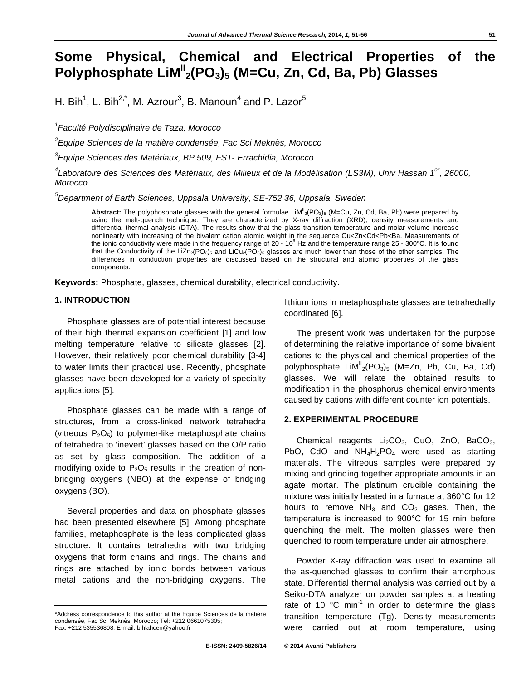# **Some Physical, Chemical and Electrical Properties of the Polyphosphate LiMII 2(PO3)5 (M=Cu, Zn, Cd, Ba, Pb) Glasses**

H. Bih<sup>1</sup>, L. Bih<sup>2,\*</sup>, M. Azrour<sup>3</sup>, B. Manoun<sup>4</sup> and P. Lazor<sup>5</sup>

*1 Faculté Polydisciplinaire de Taza, Morocco* 

*2 Equipe Sciences de la matière condensée, Fac Sci Meknès, Morocco*

*3 Equipe Sciences des Matériaux, BP 509, FST- Errachidia, Morocco* 

*4 Laboratoire des Sciences des Matériaux, des Milieux et de la Modélisation (LS3M), Univ Hassan 1er, 26000, Morocco* 

*5 Department of Earth Sciences, Uppsala University, SE-752 36, Uppsala, Sweden* 

Abstract: The polyphosphate glasses with the general formulae LiM<sup>II</sup><sub>2</sub>(PO<sub>3</sub>)<sub>5</sub> (M=Cu, Zn, Cd, Ba, Pb) were prepared by using the melt-quench technique. They are characterized by X-ray diffraction (XRD), density measurements and differential thermal analysis (DTA). The results show that the glass transition temperature and molar volume increase nonlinearly with increasing of the bivalent cation atomic weight in the sequence Cu<Zn<Cd<Pb<Ba. Measurements of the ionic conductivity were made in the frequency range of 20 - 10<sup>6</sup> Hz and the temperature range 25 - 300°C. It is found that the Conductivity of the LiZn<sub>2</sub>(PO<sub>3</sub>)<sub>5</sub> and LiCu<sub>2</sub>(PO<sub>3</sub>)<sub>5</sub> glasses are much lower than those of the other samples. The differences in conduction properties are discussed based on the structural and atomic properties of the glass components.

**Keywords:** Phosphate, glasses, chemical durability, electrical conductivity.

# **1. INTRODUCTION**

Phosphate glasses are of potential interest because of their high thermal expansion coefficient [1] and low melting temperature relative to silicate glasses [2]. However, their relatively poor chemical durability [3-4] to water limits their practical use. Recently, phosphate glasses have been developed for a variety of specialty applications [5].

Phosphate glasses can be made with a range of structures, from a cross-linked network tetrahedra (vitreous  $P_2O_5$ ) to polymer-like metaphosphate chains of tetrahedra to 'inevert' glasses based on the O/P ratio as set by glass composition. The addition of a modifying oxide to  $P_2O_5$  results in the creation of nonbridging oxygens (NBO) at the expense of bridging oxygens (BO).

Several properties and data on phosphate glasses had been presented elsewhere [5]. Among phosphate families, metaphosphate is the less complicated glass structure. It contains tetrahedra with two bridging oxygens that form chains and rings. The chains and rings are attached by ionic bonds between various metal cations and the non-bridging oxygens. The

lithium ions in metaphosphate glasses are tetrahedrally coordinated [6].

The present work was undertaken for the purpose of determining the relative importance of some bivalent cations to the physical and chemical properties of the polyphosphate  $\text{Lim}^{\text{II}}_{2}(\text{PO}_3)_5$  (M=Zn, Pb, Cu, Ba, Cd) glasses. We will relate the obtained results to modification in the phosphorus chemical environments caused by cations with different counter ion potentials.

### **2. EXPERIMENTAL PROCEDURE**

Chemical reagents  $Li<sub>2</sub>CO<sub>3</sub>$ , CuO, ZnO, BaCO<sub>3</sub>, PbO, CdO and  $NH_4H_2PO_4$  were used as starting materials. The vitreous samples were prepared by mixing and grinding together appropriate amounts in an agate mortar. The platinum crucible containing the mixture was initially heated in a furnace at 360°C for 12 hours to remove  $NH<sub>3</sub>$  and  $CO<sub>2</sub>$  gases. Then, the temperature is increased to 900°C for 15 min before quenching the melt. The molten glasses were then quenched to room temperature under air atmosphere.

Powder X-ray diffraction was used to examine all the as-quenched glasses to confirm their amorphous state. Differential thermal analysis was carried out by a Seiko-DTA analyzer on powder samples at a heating rate of 10  $^{\circ}$ C min<sup>-1</sup> in order to determine the glass transition temperature (Tg). Density measurements were carried out at room temperature, using

<sup>\*</sup>Address correspondence to this author at the Equipe Sciences de la matière condensée, Fac Sci Meknès, Morocco; Tel: +212 0661075305; Fax: +212 535536808; E-mail: bihlahcen@yahoo.fr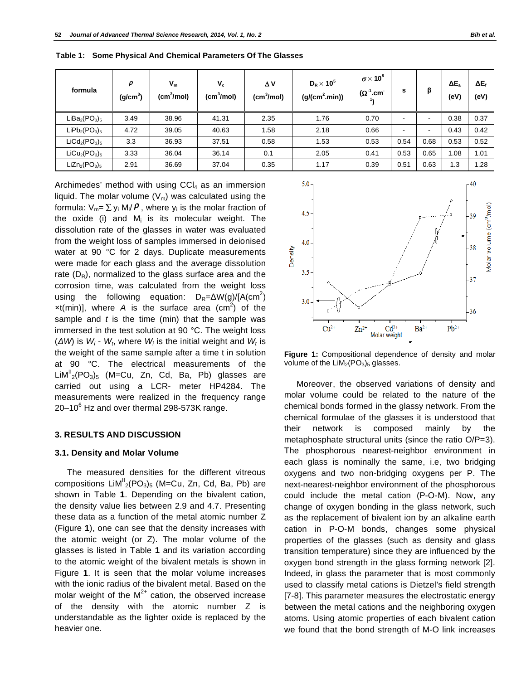| formula       | ρ<br>(g/cm <sup>3</sup> ) | $V_m$<br>(cm <sup>3</sup> /mol) | $V_c$<br>(cm <sup>3</sup> /mol) | ΔV<br>(cm <sup>3</sup> /mol) | $D_R \times 10^5$<br>$(g/(cm^2.min))$ | $\sigma \times 10^8$<br>$(\Omega^{\mathsf{T}})$<br>$^{\prime}$ .cm $^{\cdot}$ | s                        | β    | $\Delta E_a$<br>(eV) | ΔE <sub>f</sub><br>(eV) |
|---------------|---------------------------|---------------------------------|---------------------------------|------------------------------|---------------------------------------|-------------------------------------------------------------------------------|--------------------------|------|----------------------|-------------------------|
| $LiBa2(PO3)5$ | 3.49                      | 38.96                           | 41.31                           | 2.35                         | 1.76                                  | 0.70                                                                          | $\overline{\phantom{a}}$ | -    | 0.38                 | 0.37                    |
| $LIPb2(PO3)5$ | 4.72                      | 39.05                           | 40.63                           | 1.58                         | 2.18                                  | 0.66                                                                          | $\overline{\phantom{a}}$ | -    | 0.43                 | 0.42                    |
| $LiCd2(PO3)5$ | 3.3                       | 36.93                           | 37.51                           | 0.58                         | 1.53                                  | 0.53                                                                          | 0.54                     | 0.68 | 0.53                 | 0.52                    |
| $LiCu2(PO3)5$ | 3.33                      | 36.04                           | 36.14                           | 0.1                          | 2.05                                  | 0.41                                                                          | 0.53                     | 0.65 | 1.08                 | 1.01                    |
| $LiZn2(PO3)5$ | 2.91                      | 36.69                           | 37.04                           | 0.35                         | 1.17                                  | 0.39                                                                          | 0.51                     | 0.63 | 1.3                  | 1.28                    |

**Table 1: Some Physical And Chemical Parameters Of The Glasses** 

Archimedes' method with using  $CCI<sub>4</sub>$  as an immersion liquid. The molar volume  $(V_m)$  was calculated using the formula:  $\mathsf{V}_\mathsf{m} = \sum \mathsf{y}_\mathsf{i} \; \mathsf{M}_\mathsf{i}/\bm{\rho}$  , where  $\mathsf{y}_\mathsf{i}$  is the molar fraction of the oxide (i) and M<sub>i</sub> is its molecular weight. The dissolution rate of the glasses in water was evaluated from the weight loss of samples immersed in deionised water at 90 °C for 2 days. Duplicate measurements were made for each glass and the average dissolution rate  $(D_R)$ , normalized to the glass surface area and the corrosion time, was calculated from the weight loss using the following equation:  $D_R = \Delta W(g)/[A(cm^2)]$  $xt(min)$ ], where A is the surface area (cm<sup>2</sup>) of the sample and *t* is the time (min) that the sample was immersed in the test solution at 90 °C. The weight loss ( $\Delta W$ ) is  $W_i$  -  $W_t$ , where  $W_i$  is the initial weight and  $W_t$  is the weight of the same sample after a time t in solution at 90 °C. The electrical measurements of the  $\textsf{LiM}^{\textsf{II}}_{\textsf{2}}$ (PO $_3$ )<sub>5</sub> (M=Cu, Zn, Cd, Ba, Pb) glasses are carried out using a LCR- meter HP4284. The measurements were realized in the frequency range 20–10 $^6$  Hz and over thermal 298-573K range.

## **3. RESULTS AND DISCUSSION**

#### **3.1. Density and Molar Volume**

The measured densities for the different vitreous compositions  $\text{LiM}^{\text{II}}_{2}(\text{PO}_{3})_{5}$  (M=Cu, Zn, Cd, Ba, Pb) are shown in Table **1**. Depending on the bivalent cation, the density value lies between 2.9 and 4.7. Presenting these data as a function of the metal atomic number Z (Figure **1**), one can see that the density increases with the atomic weight (or Z). The molar volume of the glasses is listed in Table **1** and its variation according to the atomic weight of the bivalent metals is shown in Figure **1**. It is seen that the molar volume increases with the ionic radius of the bivalent metal. Based on the molar weight of the  $M^{2+}$  cation, the observed increase of the density with the atomic number Z is understandable as the lighter oxide is replaced by the heavier one.



**Figure 1:** Compositional dependence of density and molar volume of the  $LiM<sub>2</sub>(PO<sub>3</sub>)<sub>5</sub>$  glasses.

Moreover, the observed variations of density and molar volume could be related to the nature of the chemical bonds formed in the glassy network. From the chemical formulae of the glasses it is understood that their network is composed mainly by the metaphosphate structural units (since the ratio O/P=3). The phosphorous nearest-neighbor environment in each glass is nominally the same, i.e, two bridging oxygens and two non-bridging oxygens per P. The next-nearest-neighbor environment of the phosphorous could include the metal cation (P-O-M). Now, any change of oxygen bonding in the glass network, such as the replacement of bivalent ion by an alkaline earth cation in P-O-M bonds, changes some physical properties of the glasses (such as density and glass transition temperature) since they are influenced by the oxygen bond strength in the glass forming network [2]. Indeed, in glass the parameter that is most commonly used to classify metal cations is Dietzel's field strength [7-8]. This parameter measures the electrostatic energy between the metal cations and the neighboring oxygen atoms. Using atomic properties of each bivalent cation we found that the bond strength of M-O link increases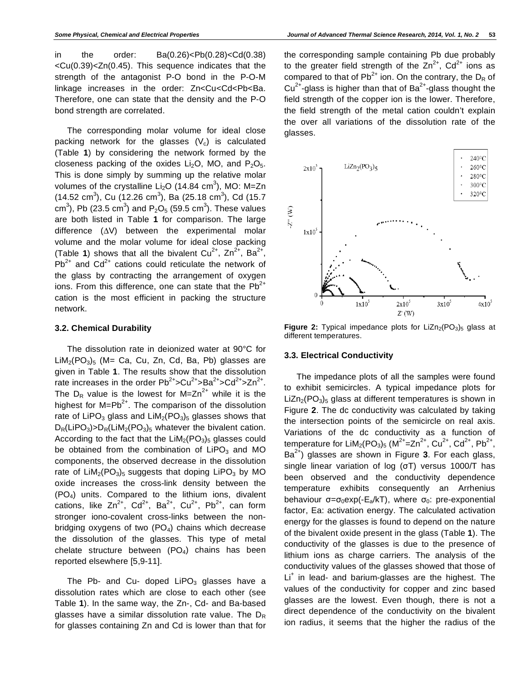in the order: Ba(0.26)<Pb(0.28)<Cd(0.38)  $<$ Cu(0.39) $<$ Zn(0.45). This sequence indicates that the strength of the antagonist P-O bond in the P-O-M linkage increases in the order: Zn<Cu<Cd<Pb<Ba. Therefore, one can state that the density and the P-O bond strength are correlated.

The corresponding molar volume for ideal close packing network for the glasses  $(V_c)$  is calculated (Table **1**) by considering the network formed by the closeness packing of the oxides  $Li<sub>2</sub>O$ , MO, and  $P<sub>2</sub>O<sub>5</sub>$ . This is done simply by summing up the relative molar volumes of the crystalline Li<sub>2</sub>O (14.84 cm<sup>3</sup>), MO: M=Zn  $(14.52 \text{ cm}^3)$ , Cu  $(12.26 \text{ cm}^3)$ , Ba  $(25.18 \text{ cm}^3)$ , Cd  $(15.7 \text{ cm}^3)$ cm<sup>3</sup>), Pb (23.5 cm<sup>3</sup>) and P<sub>2</sub>O<sub>5</sub> (59.5 cm<sup>3</sup>). These values are both listed in Table **1** for comparison. The large difference  $(\Delta V)$  between the experimental molar volume and the molar volume for ideal close packing (Table **1**) shows that all the bivalent  $Cu^{2+}$ ,  $Zn^{2+}$ ,  $Ba^{2+}$ ,  $Pb^{2+}$  and  $Cd^{2+}$  cations could reticulate the network of the glass by contracting the arrangement of oxygen ions. From this difference, one can state that the  $Pb^{2+}$ cation is the most efficient in packing the structure network.

## **3.2. Chemical Durability**

The dissolution rate in deionized water at 90°C for  $LiM<sub>2</sub>(PO<sub>3</sub>)<sub>5</sub>$  (M= Ca, Cu, Zn, Cd, Ba, Pb) glasses are given in Table **1**. The results show that the dissolution rate increases in the order  $Pb^{2+} > Cu^{2+} > Ba^{2+} > Cd^{2+} > Zn^{2+}$ . The  $D_R$  value is the lowest for M=Zn<sup>2+</sup> while it is the highest for  $M=Pb^{2+}$ . The comparison of the dissolution rate of LiPO<sub>3</sub> glass and LiM<sub>2</sub>(PO<sub>3</sub>)<sub>5</sub> glasses shows that  $D_R(LIPO_3) > D_R(LIM_2(PO_3)_5$  whatever the bivalent cation. According to the fact that the  $LiM<sub>2</sub>(PO<sub>3</sub>)<sub>5</sub>$  glasses could be obtained from the combination of  $LIPO<sub>3</sub>$  and MO components, the observed decrease in the dissolution rate of  $LiM<sub>2</sub>(PO<sub>3</sub>)<sub>5</sub>$  suggests that doping  $LiPO<sub>3</sub>$  by MO oxide increases the cross-link density between the (PO4) units. Compared to the lithium ions, divalent cations, like  $\text{Zn}^{2+}$ ,  $\text{Cd}^{2+}$ ,  $\text{Ba}^{2+}$ ,  $\text{Cu}^{2+}$ ,  $\text{Pb}^{2+}$ , can form stronger iono-covalent cross-links between the nonbridging oxygens of two  $(PO<sub>4</sub>)$  chains which decrease the dissolution of the glasses. This type of metal chelate structure between  $(PO<sub>4</sub>)$  chains has been reported elsewhere [5,9-11].

The Pb- and Cu- doped  $LIPO<sub>3</sub>$  glasses have a dissolution rates which are close to each other (see Table **1**). In the same way, the Zn-, Cd- and Ba-based glasses have a similar dissolution rate value. The  $D_R$ for glasses containing Zn and Cd is lower than that for the corresponding sample containing Pb due probably to the greater field strength of the  $Zn^{2+}$ , Cd<sup>2+</sup> ions as compared to that of  $Pb^{2+}$  ion. On the contrary, the  $D_R$  of  $Cu^{2+}$ -glass is higher than that of Ba<sup>2+</sup>-glass thought the field strength of the copper ion is the lower. Therefore, the field strength of the metal cation couldn't explain the over all variations of the dissolution rate of the glasses.



**Figure 2:** Typical impedance plots for LiZn<sub>2</sub>(PO<sub>3</sub>)<sub>5</sub> glass at different temperatures.

#### **3.3. Electrical Conductivity**

The impedance plots of all the samples were found to exhibit semicircles. A typical impedance plots for  $LiZn<sub>2</sub>(PO<sub>3</sub>)<sub>5</sub>$  glass at different temperatures is shown in Figure **2**. The dc conductivity was calculated by taking the intersection points of the semicircle on real axis. Variations of the dc conductivity as a function of temperature for LiM<sub>2</sub>(PO<sub>3</sub>)<sub>5</sub> (M<sup>2+</sup>=Zn<sup>2+</sup>, Cu<sup>2+</sup>, Cd<sup>2+</sup>, Pb<sup>2+</sup>, Ba2+) glasses are shown in Figure **3**. For each glass, single linear variation of log  $(\sigma T)$  versus 1000/T has been observed and the conductivity dependence temperature exhibits consequently an Arrhenius behaviour  $\sigma = \sigma_0 \exp(-E_a/kT)$ , where  $\sigma_0$ : pre-exponential factor, Ea: activation energy. The calculated activation energy for the glasses is found to depend on the nature of the bivalent oxide present in the glass (Table **1**). The conductivity of the glasses is due to the presence of lithium ions as charge carriers. The analysis of the conductivity values of the glasses showed that those of Li<sup>+</sup> in lead- and barium-glasses are the highest. The values of the conductivity for copper and zinc based glasses are the lowest. Even though, there is not a direct dependence of the conductivity on the bivalent ion radius, it seems that the higher the radius of the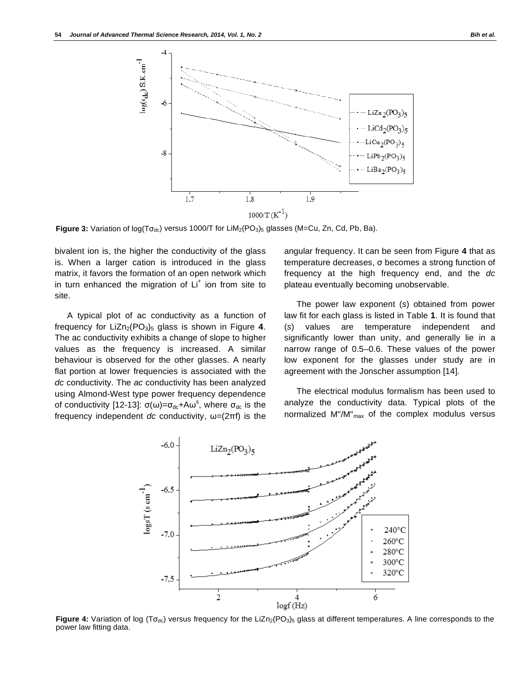

Figure 3: Variation of log(To<sub>dc</sub>) versus 1000/T for LiM<sub>2</sub>(PO<sub>3</sub>)<sub>5</sub> glasses (M=Cu, Zn, Cd, Pb, Ba).

bivalent ion is, the higher the conductivity of the glass is. When a larger cation is introduced in the glass matrix, it favors the formation of an open network which in turn enhanced the migration of  $Li<sup>+</sup>$  ion from site to site.

A typical plot of ac conductivity as a function of frequency for  $LiZn_2(PO_3)_5$  glass is shown in Figure 4. The ac conductivity exhibits a change of slope to higher values as the frequency is increased. A similar behaviour is observed for the other glasses. A nearly flat portion at lower frequencies is associated with the *dc* conductivity. The *ac* conductivity has been analyzed using Almond-West type power frequency dependence of conductivity [12-13]:  $\sigma(\omega) = \sigma_{dc} + A\omega^s$ , where  $\sigma_{dc}$  is the frequency independent *dc* conductivity,  $\omega = (2\pi f)$  is the angular frequency. It can be seen from Figure **4** that as temperature decreases,  $\sigma$  becomes a strong function of frequency at the high frequency end, and the *dc* plateau eventually becoming unobservable.

The power law exponent (*s*) obtained from power law fit for each glass is listed in Table **1**. It is found that (*s*) values are temperature independent and significantly lower than unity, and generally lie in a narrow range of 0.5–0.6. These values of the power low exponent for the glasses under study are in agreement with the Jonscher assumption [14].

The electrical modulus formalism has been used to analyze the conductivity data. Typical plots of the normalized  $M''/M''_{max}$  of the complex modulus versus



Figure 4: Variation of log (To<sub>dc</sub>) versus frequency for the LiZn<sub>2</sub>(PO<sub>3</sub>)<sub>5</sub> glass at different temperatures. A line corresponds to the power law fitting data.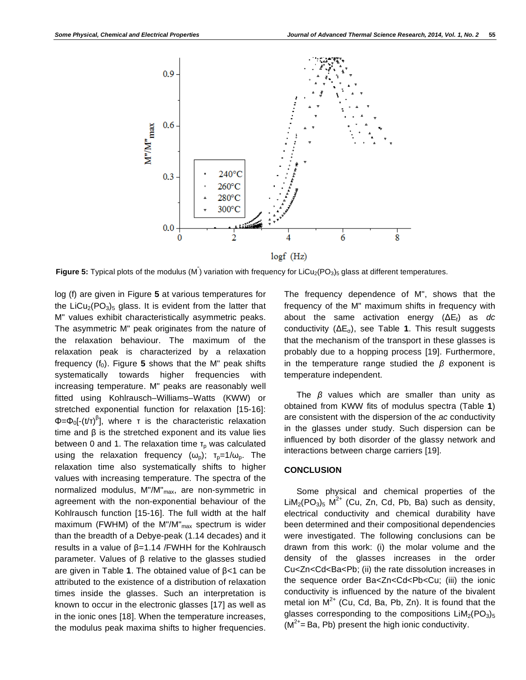

Figure 5: Typical plots of the modulus (M<sup>"</sup>) variation with frequency for LiCu<sub>2</sub>(PO<sub>3</sub>)<sub>5</sub> glass at different temperatures.

log (f) are given in Figure **5** at various temperatures for the LiCu<sub>2</sub>(PO<sub>3</sub>)<sub>5</sub> glass. It is evident from the latter that M" values exhibit characteristically asymmetric peaks. The asymmetric M" peak originates from the nature of the relaxation behaviour. The maximum of the relaxation peak is characterized by a relaxation frequency  $(f_0)$ . Figure 5 shows that the M" peak shifts systematically towards higher frequencies with increasing temperature. M" peaks are reasonably well fitted using Kohlrausch–Williams–Watts (KWW) or stretched exponential function for relaxation [15-16]:  $\Phi = \Phi_0[\cdot(\theta \tau)^{\beta}]$ , where  $\tau$  is the characteristic relaxation time and  $\beta$  is the stretched exponent and its value lies between 0 and 1. The relaxation time  $T<sub>p</sub>$  was calculated using the relaxation frequency  $(\omega_p)$ ;  $T_p=1/\omega_p$ . The relaxation time also systematically shifts to higher values with increasing temperature. The spectra of the normalized modulus, M"/M"<sub>max</sub>, are non-symmetric in agreement with the non-exponential behaviour of the Kohlrausch function [15-16]. The full width at the half maximum (FWHM) of the M"/M" $_{max}$  spectrum is wider than the breadth of a Debye-peak (1.14 decades) and it results in a value of  $\beta$ =1.14 /FWHH for the Kohlrausch parameter. Values of  $\beta$  relative to the glasses studied are given in Table 1. The obtained value of  $\beta$ <1 can be attributed to the existence of a distribution of relaxation times inside the glasses. Such an interpretation is known to occur in the electronic glasses [17] as well as in the ionic ones [18]. When the temperature increases, the modulus peak maxima shifts to higher frequencies.

The frequency dependence of M", shows that the frequency of the M" maximum shifts in frequency with about the same activation energy  $(\Delta E_f)$  as *dc* conductivity (ΔE<sub>σ</sub>), see Table 1. This result suggests that the mechanism of the transport in these glasses is probably due to a hopping process [19]. Furthermore, in the temperature range studied the  $\beta$  exponent is temperature independent.

The  $\beta$  values which are smaller than unity as obtained from KWW fits of modulus spectra (Table **1**) are consistent with the dispersion of the *ac* conductivity in the glasses under study. Such dispersion can be influenced by both disorder of the glassy network and interactions between charge carriers [19].

# **CONCLUSION**

Some physical and chemical properties of the  $\text{LiM}_2(\text{PO}_3)_5$  M<sup>2+</sup> (Cu, Zn, Cd, Pb, Ba) such as density, electrical conductivity and chemical durability have been determined and their compositional dependencies were investigated. The following conclusions can be drawn from this work: (i) the molar volume and the density of the glasses increases in the order Cu<Zn<Cd<Ba<Pb; (ii) the rate dissolution increases in the sequence order Ba<Zn<Cd<Pb<Cu; (iii) the ionic conductivity is influenced by the nature of the bivalent metal ion  $M^{2+}$  (Cu, Cd, Ba, Pb, Zn). It is found that the glasses corresponding to the compositions  $LiM<sub>2</sub>(PO<sub>3</sub>)<sub>5</sub>$  $(M^{2+}$ = Ba, Pb) present the high ionic conductivity.